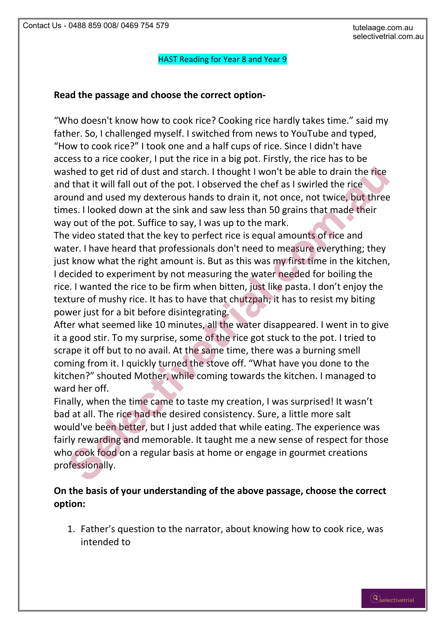## HAST Reading for Year 8 and Year 9

## **Read the passage and choose the correct option-**

"Who doesn't know how to cook rice? Cooking rice hardly takes time." said my father. So, I challenged myself. I switched from news to YouTube and typed, "How to cook rice?" I took one and a half cups of rice. Since I didn't have access to a rice cooker, I put the rice in a big pot. Firstly, the rice has to be washed to get rid of dust and starch. I thought I won't be able to drain the rice and that it will fall out of the pot. I observed the chef as I swirled the rice around and used my dexterous hands to drain it, not once, not twice, but three times. I looked down at the sink and saw less than 50 grains that made their way out of the pot. Suffice to say, I was up to the mark.

The video stated that the key to perfect rice is equal amounts of rice and water. I have heard that professionals don't need to measure everything; they just know what the right amount is. But as this was my first time in the kitchen, I decided to experiment by not measuring the water needed for boiling the rice. I wanted the rice to be firm when bitten, just like pasta. I don't enjoy the texture of mushy rice. It has to have that chutzpah; it has to resist my biting power just for a bit before disintegrating. shed to get rid of dust and starch. I thought I won't be able to drain the rice<br>that it will fall out of the pot. I observed the chef as I swirled the rice<br>that it will fall out of the pot. I observed the chef as I swirled

After what seemed like 10 minutes, all the water disappeared. I went in to give it a good stir. To my surprise, some of the rice got stuck to the pot. I tried to scrape it off but to no avail. At the same time, there was a burning smell coming from it. I quickly turned the stove off. "What have you done to the kitchen?" shouted Mother, while coming towards the kitchen. I managed to ward her off.

Finally, when the time came to taste my creation, I was surprised! It wasn't bad at all. The rice had the desired consistency. Sure, a little more salt would've been better, but I just added that while eating. The experience was fairly rewarding and memorable. It taught me a new sense of respect for those who cook food on a regular basis at home or engage in gourmet creations professionally.

## **On the basis of your understanding of the above passage, choose the correct option:**

1. Father's question to the narrator, about knowing how to cook rice, was intended to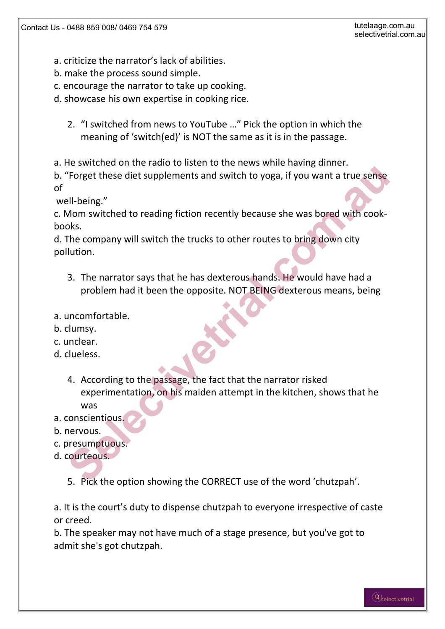- a. criticize the narrator's lack of abilities.
- b. make the process sound simple.
- c. encourage the narrator to take up cooking.
- d. showcase his own expertise in cooking rice.
	- 2. "I switched from news to YouTube …" Pick the option in which the meaning of 'switch(ed)' is NOT the same as it is in the passage.
- a. He switched on the radio to listen to the news while having dinner.
- b. "Forget these diet supplements and switch to yoga, if you want a true sense of

well-being."

c. Mom switched to reading fiction recently because she was bored with cookbooks.

d. The company will switch the trucks to other routes to bring down city pollution.

- 3. The narrator says that he has dexterous hands. He would have had a problem had it been the opposite. NOT BEING dexterous means, being
- a. uncomfortable.
- b. clumsy.
- c. unclear.
- d. clueless.
- 4. According to the passage, the fact that the narrator risked experimentation, on his maiden attempt in the kitchen, shows that he was Forget these diet supplements and switch to yoga, if you want a true sense<br>
<u>ell-being."</u><br>
Mom switched to reading fiction recently because she was bored with cook-<br>
olso.<br>
The company will switch the trucks to other route
- a. conscientious.
- b. nervous.
- c. presumptuous.
- d. courteous.
	- 5. Pick the option showing the CORRECT use of the word 'chutzpah'.

a. It is the court's duty to dispense chutzpah to everyone irrespective of caste or creed.

b. The speaker may not have much of a stage presence, but you've got to admit she's got chutzpah.